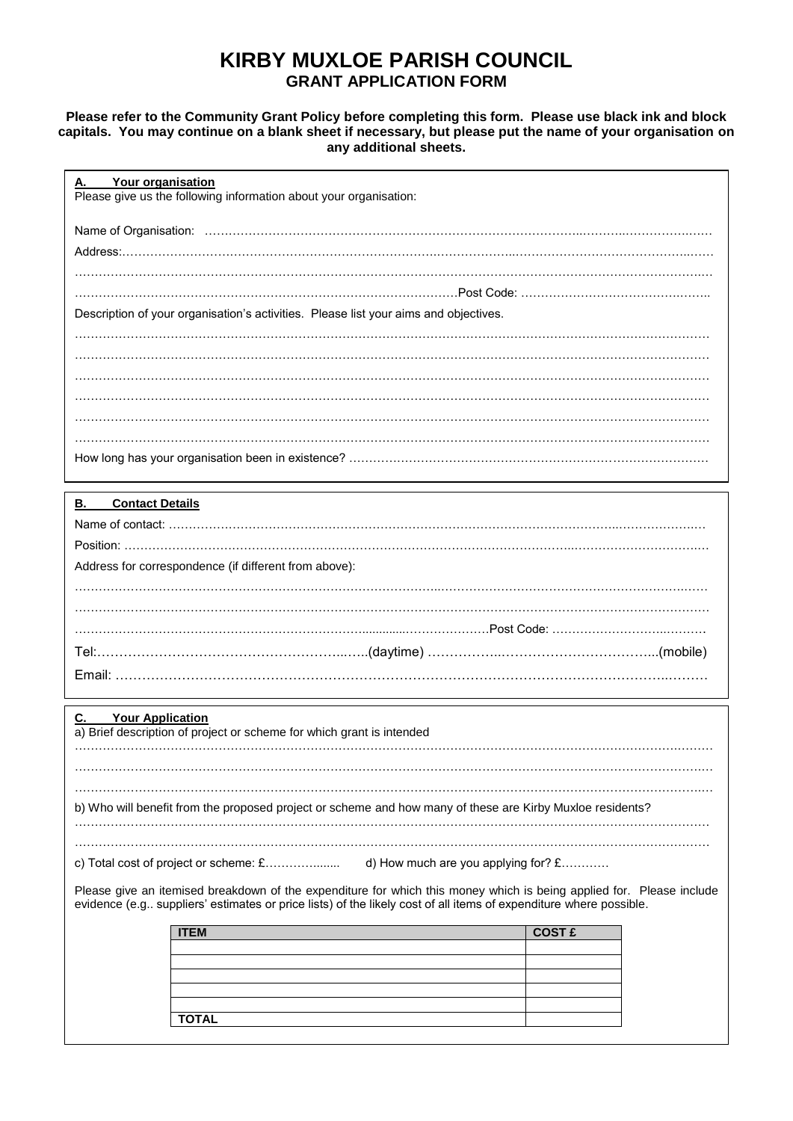# **KIRBY MUXLOE PARISH COUNCIL GRANT APPLICATION FORM**

## **Please refer to the Community Grant Policy before completing this form. Please use black ink and block capitals. You may continue on a blank sheet if necessary, but please put the name of your organisation on any additional sheets.**

| Your organisation<br>Α.<br>Please give us the following information about your organisation: |                                                                                                                                                                                                                                           |  |  |  |
|----------------------------------------------------------------------------------------------|-------------------------------------------------------------------------------------------------------------------------------------------------------------------------------------------------------------------------------------------|--|--|--|
|                                                                                              |                                                                                                                                                                                                                                           |  |  |  |
|                                                                                              |                                                                                                                                                                                                                                           |  |  |  |
|                                                                                              |                                                                                                                                                                                                                                           |  |  |  |
|                                                                                              |                                                                                                                                                                                                                                           |  |  |  |
|                                                                                              | Description of your organisation's activities. Please list your aims and objectives.                                                                                                                                                      |  |  |  |
|                                                                                              |                                                                                                                                                                                                                                           |  |  |  |
|                                                                                              |                                                                                                                                                                                                                                           |  |  |  |
|                                                                                              |                                                                                                                                                                                                                                           |  |  |  |
|                                                                                              |                                                                                                                                                                                                                                           |  |  |  |
|                                                                                              |                                                                                                                                                                                                                                           |  |  |  |
|                                                                                              |                                                                                                                                                                                                                                           |  |  |  |
|                                                                                              |                                                                                                                                                                                                                                           |  |  |  |
| <b>Contact Details</b><br><u>B.</u>                                                          |                                                                                                                                                                                                                                           |  |  |  |
|                                                                                              |                                                                                                                                                                                                                                           |  |  |  |
|                                                                                              |                                                                                                                                                                                                                                           |  |  |  |
| Address for correspondence (if different from above):                                        |                                                                                                                                                                                                                                           |  |  |  |
|                                                                                              |                                                                                                                                                                                                                                           |  |  |  |
|                                                                                              |                                                                                                                                                                                                                                           |  |  |  |
|                                                                                              |                                                                                                                                                                                                                                           |  |  |  |
|                                                                                              |                                                                                                                                                                                                                                           |  |  |  |
|                                                                                              |                                                                                                                                                                                                                                           |  |  |  |
| <b>Your Application</b>                                                                      |                                                                                                                                                                                                                                           |  |  |  |
| a) Brief description of project or scheme for which grant is intended                        |                                                                                                                                                                                                                                           |  |  |  |
|                                                                                              |                                                                                                                                                                                                                                           |  |  |  |
|                                                                                              |                                                                                                                                                                                                                                           |  |  |  |
|                                                                                              | b) Who will benefit from the proposed project or scheme and how many of these are Kirby Muxloe residents?                                                                                                                                 |  |  |  |
|                                                                                              |                                                                                                                                                                                                                                           |  |  |  |
|                                                                                              | d) How much are you applying for? $£$                                                                                                                                                                                                     |  |  |  |
|                                                                                              | Please give an itemised breakdown of the expenditure for which this money which is being applied for. Please include<br>evidence (e.g suppliers' estimates or price lists) of the likely cost of all items of expenditure where possible. |  |  |  |
| <b>ITEM</b>                                                                                  | <b>COST £</b>                                                                                                                                                                                                                             |  |  |  |
|                                                                                              |                                                                                                                                                                                                                                           |  |  |  |
|                                                                                              |                                                                                                                                                                                                                                           |  |  |  |
|                                                                                              |                                                                                                                                                                                                                                           |  |  |  |
| <b>TOTAL</b>                                                                                 |                                                                                                                                                                                                                                           |  |  |  |